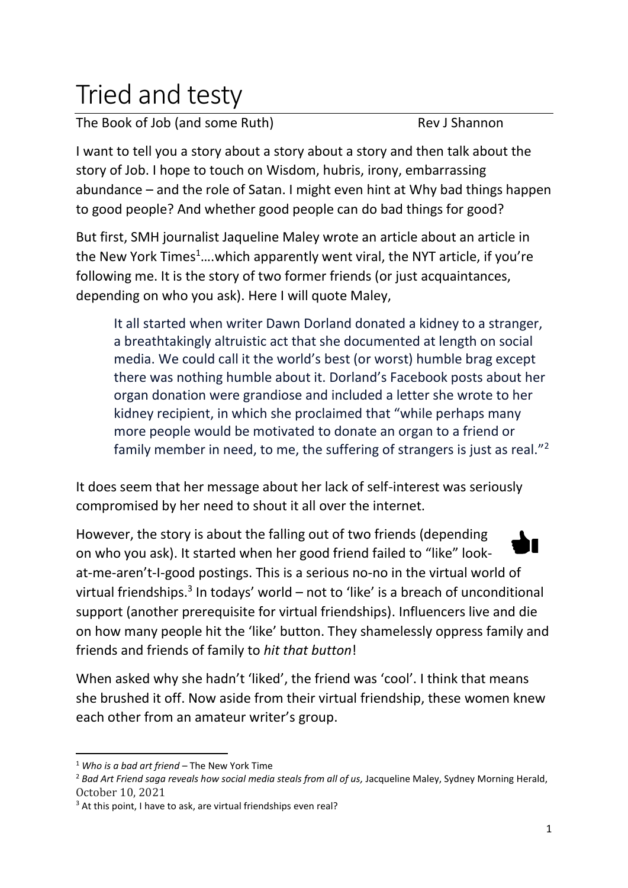## Tried and testy

The Book of Job (and some Ruth) Rev J Shannon

I want to tell you a story about a story about a story and then talk about the story of Job. I hope to touch on Wisdom, hubris, irony, embarrassing abundance – and the role of Satan. I might even hint at Why bad things happen to good people? And whether good people can do bad things for good?

But first, SMH journalist Jaqueline Maley wrote an article about an article in the New York Times<sup>1</sup>....which apparently went viral, the NYT article, if you're following me. It is the story of two former friends (or just acquaintances, depending on who you ask). Here I will quote Maley,

It all started when writer Dawn Dorland donated a kidney to a stranger, a breathtakingly altruistic act that she documented at length on social media. We could call it the world's best (or worst) humble brag except there was nothing humble about it. Dorland's Facebook posts about her organ donation were grandiose and included a letter she wrote to her kidney recipient, in which she proclaimed that "while perhaps many more people would be motivated to donate an organ to a friend or family member in need, to me, the suffering of strangers is just as real."<sup>2</sup>

It does seem that her message about her lack of self-interest was seriously compromised by her need to shout it all over the internet.

However, the story is about the falling out of two friends (depending on who you ask). It started when her good friend failed to "like" lookat-me-aren't-I-good postings. This is a serious no-no in the virtual world of virtual friendships.<sup>3</sup> In todays' world – not to 'like' is a breach of unconditional support (another prerequisite for virtual friendships). Influencers live and die on how many people hit the 'like' button. They shamelessly oppress family and friends and friends of family to *hit that button*!

When asked why she hadn't 'liked', the friend was 'cool'. I think that means she brushed it off. Now aside from their virtual friendship, these women knew each other from an amateur writer's group.

<sup>1</sup> *Who is a bad art friend* – The New York Time

<sup>&</sup>lt;sup>2</sup> Bad Art Friend saga reveals how social media steals from all of us, Jacqueline Maley, Sydney Morning Herald, October 10, 2021

<sup>&</sup>lt;sup>3</sup> At this point, I have to ask, are virtual friendships even real?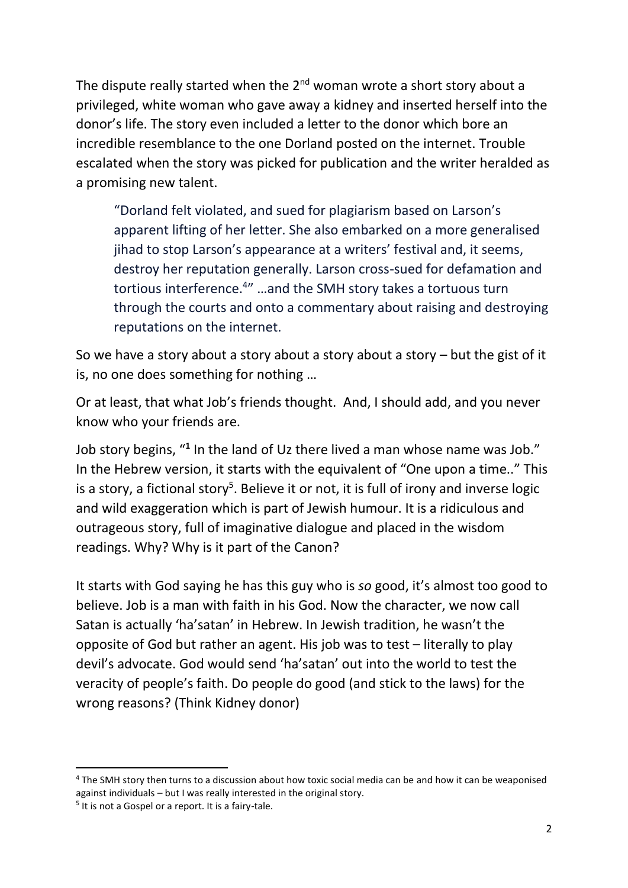The dispute really started when the  $2^{nd}$  woman wrote a short story about a privileged, white woman who gave away a kidney and inserted herself into the donor's life. The story even included a letter to the donor which bore an incredible resemblance to the one Dorland posted on the internet. Trouble escalated when the story was picked for publication and the writer heralded as a promising new talent.

"Dorland felt violated, and sued for plagiarism based on Larson's apparent lifting of her letter. She also embarked on a more generalised jihad to stop Larson's appearance at a writers' festival and, it seems, destroy her reputation generally. Larson cross-sued for defamation and tortious interference.<sup>4</sup>" ...and the SMH story takes a tortuous turn through the courts and onto a commentary about raising and destroying reputations on the internet.

So we have a story about a story about a story about a story – but the gist of it is, no one does something for nothing …

Or at least, that what Job's friends thought. And, I should add, and you never know who your friends are.

Job story begins, "<sup>1</sup> In the land of Uz there lived a man whose name was Job." In the Hebrew version, it starts with the equivalent of "One upon a time.." This is a story, a fictional story<sup>5</sup>. Believe it or not, it is full of irony and inverse logic and wild exaggeration which is part of Jewish humour. It is a ridiculous and outrageous story, full of imaginative dialogue and placed in the wisdom readings. Why? Why is it part of the Canon?

It starts with God saying he has this guy who is *so* good, it's almost too good to believe. Job is a man with faith in his God. Now the character, we now call Satan is actually 'ha'satan' in Hebrew. In Jewish tradition, he wasn't the opposite of God but rather an agent. His job was to test – literally to play devil's advocate. God would send 'ha'satan' out into the world to test the veracity of people's faith. Do people do good (and stick to the laws) for the wrong reasons? (Think Kidney donor)

<sup>4</sup> The SMH story then turns to a discussion about how toxic social media can be and how it can be weaponised against individuals – but I was really interested in the original story.

<sup>&</sup>lt;sup>5</sup> It is not a Gospel or a report. It is a fairy-tale.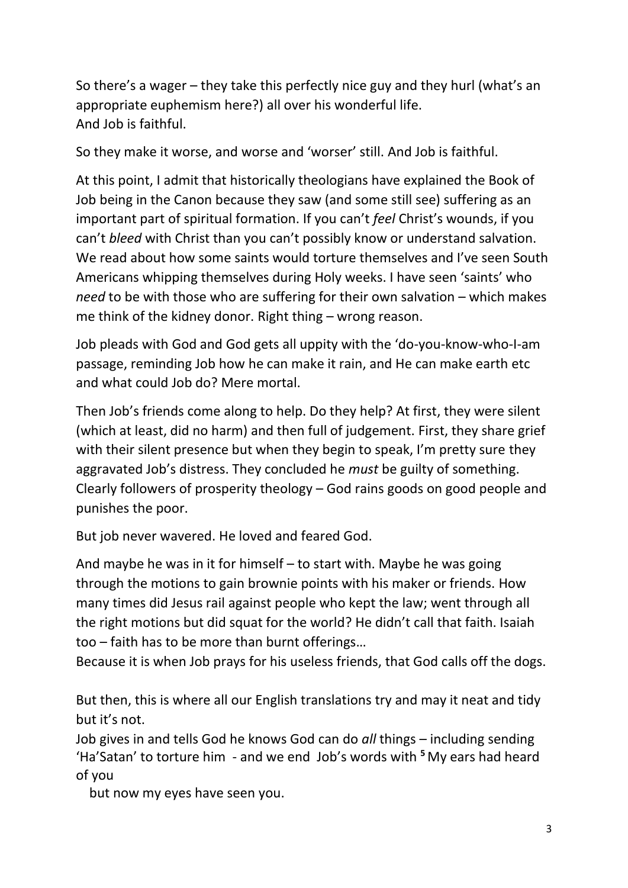So there's a wager – they take this perfectly nice guy and they hurl (what's an appropriate euphemism here?) all over his wonderful life. And Job is faithful.

So they make it worse, and worse and 'worser' still. And Job is faithful.

At this point, I admit that historically theologians have explained the Book of Job being in the Canon because they saw (and some still see) suffering as an important part of spiritual formation. If you can't *feel* Christ's wounds, if you can't *bleed* with Christ than you can't possibly know or understand salvation. We read about how some saints would torture themselves and I've seen South Americans whipping themselves during Holy weeks. I have seen 'saints' who *need* to be with those who are suffering for their own salvation – which makes me think of the kidney donor. Right thing – wrong reason.

Job pleads with God and God gets all uppity with the 'do-you-know-who-I-am passage, reminding Job how he can make it rain, and He can make earth etc and what could Job do? Mere mortal.

Then Job's friends come along to help. Do they help? At first, they were silent (which at least, did no harm) and then full of judgement. First, they share grief with their silent presence but when they begin to speak, I'm pretty sure they aggravated Job's distress. They concluded he *must* be guilty of something. Clearly followers of prosperity theology – God rains goods on good people and punishes the poor.

But job never wavered. He loved and feared God.

And maybe he was in it for himself – to start with. Maybe he was going through the motions to gain brownie points with his maker or friends. How many times did Jesus rail against people who kept the law; went through all the right motions but did squat for the world? He didn't call that faith. Isaiah too – faith has to be more than burnt offerings…

Because it is when Job prays for his useless friends, that God calls off the dogs.

But then, this is where all our English translations try and may it neat and tidy but it's not.

Job gives in and tells God he knows God can do *all* things – including sending 'Ha'Satan' to torture him - and we end Job's words with **<sup>5</sup>** My ears had heard of you

but now my eyes have seen you.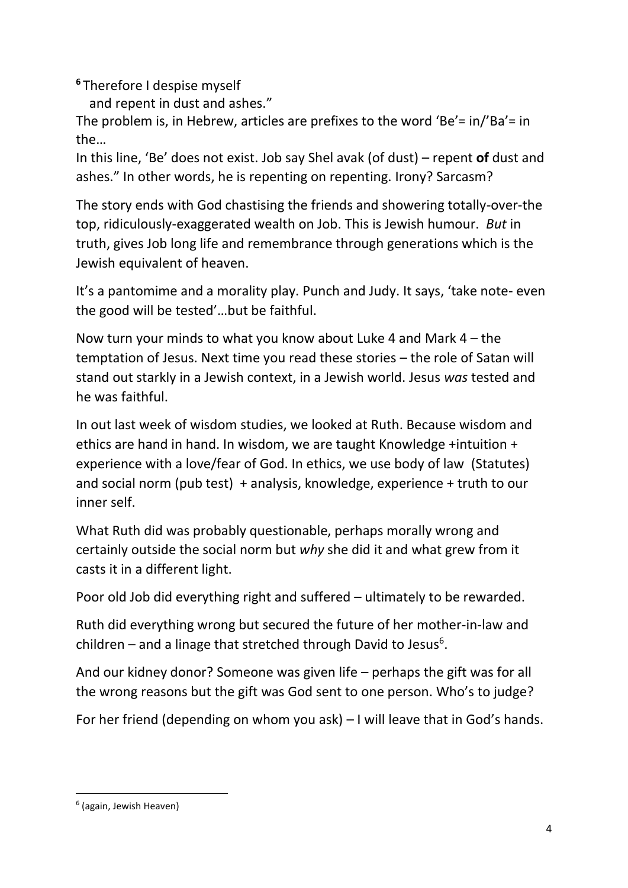**<sup>6</sup>** Therefore I despise myself

and repent in dust and ashes."

The problem is, in Hebrew, articles are prefixes to the word 'Be'= in/'Ba'= in the…

In this line, 'Be' does not exist. Job say Shel avak (of dust) – repent **of** dust and ashes." In other words, he is repenting on repenting. Irony? Sarcasm?

The story ends with God chastising the friends and showering totally-over-the top, ridiculously-exaggerated wealth on Job. This is Jewish humour. *But* in truth, gives Job long life and remembrance through generations which is the Jewish equivalent of heaven.

It's a pantomime and a morality play. Punch and Judy. It says, 'take note- even the good will be tested'…but be faithful.

Now turn your minds to what you know about Luke 4 and Mark 4 – the temptation of Jesus. Next time you read these stories – the role of Satan will stand out starkly in a Jewish context, in a Jewish world. Jesus *was* tested and he was faithful.

In out last week of wisdom studies, we looked at Ruth. Because wisdom and ethics are hand in hand. In wisdom, we are taught Knowledge +intuition + experience with a love/fear of God. In ethics, we use body of law (Statutes) and social norm (pub test) + analysis, knowledge, experience + truth to our inner self.

What Ruth did was probably questionable, perhaps morally wrong and certainly outside the social norm but *why* she did it and what grew from it casts it in a different light.

Poor old Job did everything right and suffered – ultimately to be rewarded.

Ruth did everything wrong but secured the future of her mother-in-law and children  $-$  and a linage that stretched through David to Jesus<sup>6</sup>.

And our kidney donor? Someone was given life – perhaps the gift was for all the wrong reasons but the gift was God sent to one person. Who's to judge?

For her friend (depending on whom you ask) – I will leave that in God's hands.

<sup>6</sup> (again, Jewish Heaven)